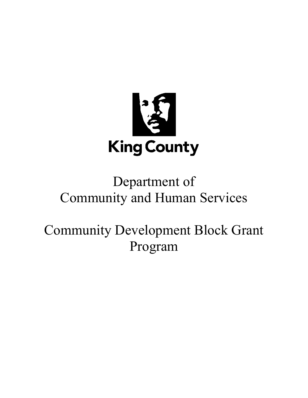

# Department of Community and Human Services

Community Development Block Grant Program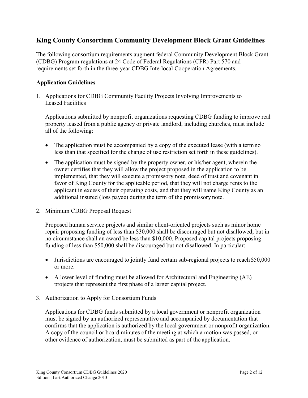# **King County Consortium Community Development Block Grant Guidelines**

The following consortium requirements augment federal Community Development Block Grant (CDBG) Program regulations at 24 Code of Federal Regulations (CFR) Part 570 and requirements set forth in the three-year CDBG Interlocal Cooperation Agreements.

#### **Application Guidelines**

1. Applications for CDBG Community Facility Projects Involving Improvements to Leased Facilities

Applications submitted by nonprofit organizations requesting CDBG funding to improve real property leased from a public agency or private landlord, including churches, must include all of the following:

- The application must be accompanied by a copy of the executed lease (with a term no less than that specified for the change of use restriction set forth in these guidelines).
- The application must be signed by the property owner, or his/her agent, wherein the owner certifies that they will allow the project proposed in the application to be implemented, that they will execute a promissory note, deed of trust and covenant in favor of King County for the applicable period, that they will not charge rents to the applicant in excess of their operating costs, and that they will name King County as an additional insured (loss payee) during the term of the promissory note.
- 2. Minimum CDBG Proposal Request

Proposed human service projects and similar client-oriented projects such as minor home repair proposing funding of less than \$30,000 shall be discouraged but not disallowed; but in no circumstance shall an award be less than \$10,000. Proposed capital projects proposing funding of less than \$50,000 shall be discouraged but not disallowed. In particular:

- Jurisdictions are encouraged to jointly fund certain sub-regional projects to reach \$50,000 or more.
- A lower level of funding must be allowed for Architectural and Engineering (AE) projects that represent the first phase of a larger capital project.
- 3. Authorization to Apply for Consortium Funds

Applications for CDBG funds submitted by a local government or nonprofit organization must be signed by an authorized representative and accompanied by documentation that confirms that the application is authorized by the local government or nonprofit organization. A copy of the council or board minutes of the meeting at which a motion was passed, or other evidence of authorization, must be submitted as part of the application.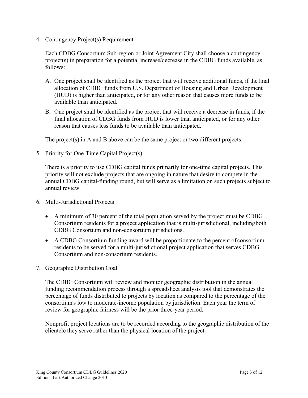4. Contingency Project(s) Requirement

Each CDBG Consortium Sub-region or Joint Agreement City shall choose a contingency project(s) in preparation for a potential increase/decrease in the CDBG funds available, as follows:

- A. One project shall be identified as the project that will receive additional funds, if the final allocation of CDBG funds from U.S. Department of Housing and Urban Development (HUD) is higher than anticipated, or for any other reason that causes more funds to be available than anticipated.
- B. One project shall be identified as the project that will receive a decrease in funds, if the final allocation of CDBG funds from HUD is lower than anticipated, or for any other reason that causes less funds to be available than anticipated.

The project(s) in A and B above can be the same project or two different projects.

5. Priority for One-Time Capital Project(s)

There is a priority to use CDBG capital funds primarily for one-time capital projects. This priority will not exclude projects that are ongoing in nature that desire to compete in the annual CDBG capital-funding round, but will serve as a limitation on such projects subject to annual review.

- 6. Multi-Jurisdictional Projects
	- A minimum of 30 percent of the total population served by the project must be CDBG Consortium residents for a project application that is multi-jurisdictional, includingboth CDBG Consortium and non-consortium jurisdictions.
	- A CDBG Consortium funding award will be proportionate to the percent of consortium residents to be served for a multi-jurisdictional project application that serves CDBG Consortium and non-consortium residents.
- 7. Geographic Distribution Goal

The CDBG Consortium will review and monitor geographic distribution in the annual funding recommendation process through a spreadsheet analysis tool that demonstrates the percentage of funds distributed to projects by location as compared to the percentage of the consortium's low to moderate-income population by jurisdiction. Each year the term of review for geographic fairness will be the prior three-year period.

Nonprofit project locations are to be recorded according to the geographic distribution of the clientele they serve rather than the physical location of the project.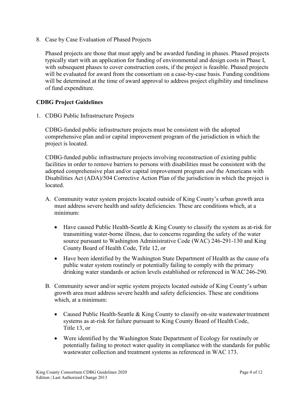8. Case by Case Evaluation of Phased Projects

Phased projects are those that must apply and be awarded funding in phases. Phased projects typically start with an application for funding of environmental and design costs in Phase I, with subsequent phases to cover construction costs, if the project is feasible. Phased projects will be evaluated for award from the consortium on a case-by-case basis. Funding conditions will be determined at the time of award approval to address project eligibility and timeliness of fund expenditure.

## **CDBG Project Guidelines**

1. CDBG Public Infrastructure Projects

CDBG-funded public infrastructure projects must be consistent with the adopted comprehensive plan and/or capital improvement program of the jurisdiction in which the project is located.

CDBG-funded public infrastructure projects involving reconstruction of existing public facilities in order to remove barriers to persons with disabilities must be consistent with the adopted comprehensive plan and/or capital improvement program *and* the Americans with Disabilities Act (ADA)/504 Corrective Action Plan of the jurisdiction in which the project is located.

- A. Community water system projects located outside of King County's urban growth area must address severe health and safety deficiencies. These are conditions which, at a minimum:
	- Have caused Public Health-Seattle  $&$  King County to classify the system as at-risk for transmitting water-borne illness, due to concerns regarding the safety of the water source pursuant to Washington Administrative Code (WAC) 246-291-130 and King County Board of Health Code, Title 12, or
	- Have been identified by the Washington State Department of Health as the cause of a public water system routinely or potentially failing to comply with the primary drinking water standards or action levels established or referenced in WAC246-290.
- B. Community sewer and/or septic system projects located outside of King County's urban growth area must address severe health and safety deficiencies. These are conditions which, at a minimum:
	- Caused Public Health-Seattle  $&$  King County to classify on-site wastewater treatment systems as at-risk for failure pursuant to King County Board of Health Code, Title 13, or
	- Were identified by the Washington State Department of Ecology for routinely or potentially failing to protect water quality in compliance with the standards for public wastewater collection and treatment systems as referenced in WAC 173.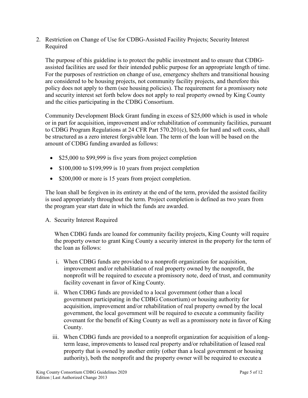2. Restriction on Change of Use for CDBG-Assisted Facility Projects; Security Interest Required

The purpose of this guideline is to protect the public investment and to ensure that CDBGassisted facilities are used for their intended public purpose for an appropriate length of time. For the purposes of restriction on change of use, emergency shelters and transitional housing are considered to be housing projects, not community facility projects, and therefore this policy does not apply to them (see housing policies). The requirement for a promissory note and security interest set forth below does not apply to real property owned by King County and the cities participating in the CDBG Consortium.

Community Development Block Grant funding in excess of \$25,000 which is used in whole or in part for acquisition, improvement and/or rehabilitation of community facilities, pursuant to CDBG Program Regulations at 24 CFR Part 570.201(c), both for hard and soft costs, shall be structured as a zero interest forgivable loan. The term of the loan will be based on the amount of CDBG funding awarded as follows:

- \$25,000 to \$99,999 is five years from project completion
- \$100,000 to \$199,999 is 10 years from project completion
- \$200,000 or more is 15 years from project completion.

The loan shall be forgiven in its entirety at the end of the term, provided the assisted facility is used appropriately throughout the term. Project completion is defined as two years from the program year start date in which the funds are awarded.

A. Security Interest Required

When CDBG funds are loaned for community facility projects, King County will require the property owner to grant King County a security interest in the property for the term of the loan as follows:

- i. When CDBG funds are provided to a nonprofit organization for acquisition, improvement and/or rehabilitation of real property owned by the nonprofit, the nonprofit will be required to execute a promissory note, deed of trust, and community facility covenant in favor of King County.
- ii. When CDBG funds are provided to a local government (other than a local government participating in the CDBG Consortium) or housing authority for acquisition, improvement and/or rehabilitation of real property owned by the local government, the local government will be required to execute a community facility covenant for the benefit of King County as well as a promissory note in favor of King County.
- iii. When CDBG funds are provided to a nonprofit organization for acquisition of a longterm lease, improvements to leased real property and/or rehabilitation of leased real property that is owned by another entity (other than a local government or housing authority), both the nonprofit and the property owner will be required to execute a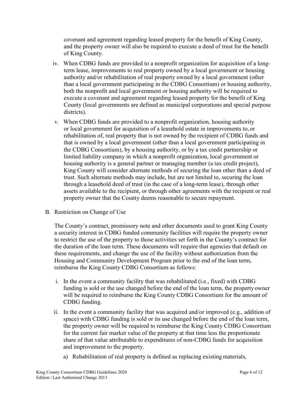covenant and agreement regarding leased property for the benefit of King County, and the property owner will also be required to execute a deed of trust for the benefit of King County.

- iv. When CDBG funds are provided to a nonprofit organization for acquisition of a longterm lease, improvements to real property owned by a local government or housing authority and/or rehabilitation of real property owned by a local government (other than a local government participating in the CDBG Consortium) or housing authority, both the nonprofit and local government or housing authority will be required to execute a covenant and agreement regarding leased property for the benefit of King County (local governments are defined as municipal corporations and special purpose districts).
- v. When CDBG funds are provided to a nonprofit organization, housing authority or local government for acquisition of a leasehold estate in improvements to, or rehabilitation of, real property that is not owned by the recipient of CDBG funds and that is owned by a local government (other than a local government participating in the CDBG Consortium), by a housing authority, or by a tax credit partnership or limited liability company in which a nonprofit organization, local government or housing authority is a general partner or managing member (a tax credit project), King County will consider alternate methods of securing the loan other than a deed of trust. Such alternate methods may include, but are not limited to, securing the loan through a leasehold deed of trust (in the case of a long-term lease), through other assets available to the recipient, or through other agreements with the recipient or real property owner that the County deems reasonable to secure repayment.
- B. Restriction on Change of Use

The County's contract, promissory note and other documents used to grant King County a security interest in CDBG funded community facilities will require the property owner to restrict the use of the property to those activities set forth in the County's contract for the duration of the loan term. These documents will require that agencies that default on these requirements, and change the use of the facility without authorization from the Housing and Community Development Program prior to the end of the loan term, reimburse the King County CDBG Consortium as follows:

- i. In the event a community facility that was rehabilitated (i.e., fixed) with CDBG funding is sold or the use changed before the end of the loan term, the propertyowner will be required to reimburse the King County CDBG Consortium for the amount of CDBG funding.
- ii. In the event a community facility that was acquired and/or improved (e.g., addition of space) with CDBG funding is sold or its use changed before the end of the loan term, the property owner will be required to reimburse the King County CDBG Consortium for the current fair market value of the property at that time less the proportionate share of that value attributable to expenditures of non-CDBG funds for acquisition and improvement to the property.
	- a) Rehabilitation of real property is defined as replacing existing materials,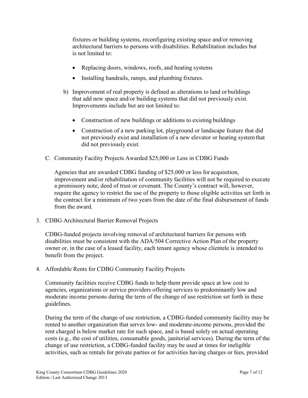fixtures or building systems, reconfiguring existing space and/or removing architectural barriers to persons with disabilities. Rehabilitation includes but is not limited to:

- Replacing doors, windows, roofs, and heating systems
- Installing handrails, ramps, and plumbing fixtures.
- b) Improvement of real property is defined as alterations to land or buildings that add new space and/or building systems that did not previously exist. Improvements include but are not limited to:
	- Construction of new buildings or additions to existing buildings
	- Construction of a new parking lot, playground or landscape feature that did not previously exist and installation of a new elevator or heating systemthat did not previously exist.
- C. Community Facility Projects Awarded \$25,000 or Less in CDBG Funds

Agencies that are awarded CDBG funding of \$25,000 or less for acquisition, improvement and/or rehabilitation of community facilities will not be required to execute a promissory note, deed of trust or covenant. The County's contract will, however, require the agency to restrict the use of the property to those eligible activities set forth in the contract for a minimum of two years from the date of the final disbursement of funds from the award.

3. CDBG Architectural Barrier Removal Projects

CDBG-funded projects involving removal of architectural barriers for persons with disabilities must be consistent with the ADA/504 Corrective Action Plan of the property owner or, in the case of a leased facility, each tenant agency whose clientele is intended to benefit from the project.

4. Affordable Rents for CDBG Community Facility Projects

Community facilities receive CDBG funds to help them provide space at low cost to agencies, organizations or service providers offering services to predominantly low and moderate income persons during the term of the change of use restriction set forth in these guidelines.

During the term of the change of use restriction, a CDBG-funded community facility may be rented to another organization that serves low- and moderate-income persons, provided the rent charged is below market rate for such space, and is based solely on actual operating costs (e.g., the cost of utilities, consumable goods, janitorial services). During the term of the change of use restriction, a CDBG-funded facility may be used at times for ineligible activities, such as rentals for private parties or for activities having charges or fees, provided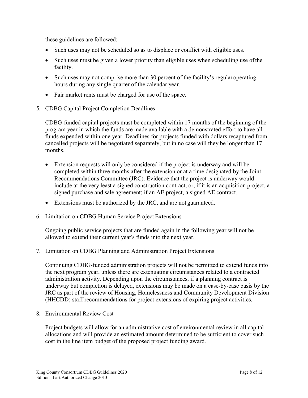these guidelines are followed:

- Such uses may not be scheduled so as to displace or conflict with eligible uses.
- Such uses must be given a lower priority than eligible uses when scheduling use of the facility.
- Such uses may not comprise more than 30 percent of the facility's regular operating hours during any single quarter of the calendar year.
- Fair market rents must be charged for use of the space.
- 5. CDBG Capital Project Completion Deadlines

CDBG-funded capital projects must be completed within 17 months of the beginning of the program year in which the funds are made available with a demonstrated effort to have all funds expended within one year. Deadlines for projects funded with dollars recaptured from cancelled projects will be negotiated separately, but in no case will they be longer than 17 months.

- Extension requests will only be considered if the project is underway and will be completed within three months after the extension or at a time designated by the Joint Recommendations Committee (JRC). Evidence that the project is underway would include at the very least a signed construction contract, or, if it is an acquisition project, a signed purchase and sale agreement; if an AE project, a signed AE contract.
- Extensions must be authorized by the JRC, and are not guaranteed.
- 6. Limitation on CDBG Human Service Project Extensions

Ongoing public service projects that are funded again in the following year will not be allowed to extend their current year's funds into the next year.

7. Limitation on CDBG Planning and Administration Project Extensions

Continuing CDBG-funded administration projects will not be permitted to extend funds into the next program year, unless there are extenuating circumstances related to a contracted administration activity. Depending upon the circumstances, if a planning contract is underway but completion is delayed, extensions may be made on a case-by-case basis by the JRC as part of the review of Housing, Homelessness and Community Development Division (HHCDD) staff recommendations for project extensions of expiring project activities.

8. Environmental Review Cost

Project budgets will allow for an administrative cost of environmental review in all capital allocations and will provide an estimated amount determined to be sufficient to cover such cost in the line item budget of the proposed project funding award.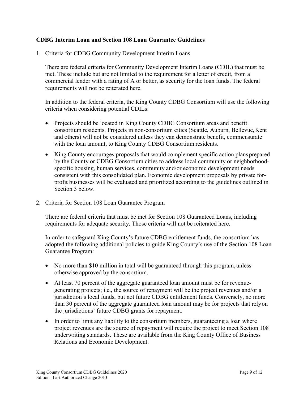#### **CDBG Interim Loan and Section 108 Loan Guarantee Guidelines**

1. Criteria for CDBG Community Development Interim Loans

There are federal criteria for Community Development Interim Loans (CDIL) that must be met. These include but are not limited to the requirement for a letter of credit, from a commercial lender with a rating of A or better, as security for the loan funds. The federal requirements will not be reiterated here.

In addition to the federal criteria, the King County CDBG Consortium will use the following criteria when considering potential CDILs:

- Projects should be located in King County CDBG Consortium areas and benefit consortium residents. Projects in non-consortium cities (Seattle, Auburn, Bellevue,Kent and others) will not be considered unless they can demonstrate benefit, commensurate with the loan amount, to King County CDBG Consortium residents.
- King County encourages proposals that would complement specific action plansprepared by the County or CDBG Consortium cities to address local community or neighborhoodspecific housing, human services, community and/or economic development needs consistent with this consolidated plan. Economic development proposals by private forprofit businesses will be evaluated and prioritized according to the guidelines outlined in Section 3 below.
- 2. Criteria for Section 108 Loan Guarantee Program

There are federal criteria that must be met for Section 108 Guaranteed Loans, including requirements for adequate security. Those criteria will not be reiterated here.

In order to safeguard King County's future CDBG entitlement funds, the consortium has adopted the following additional policies to guide King County's use of the Section 108 Loan Guarantee Program:

- No more than \$10 million in total will be guaranteed through this program, unless otherwise approved by the consortium.
- At least 70 percent of the aggregate guaranteed loan amount must be for revenuegenerating projects; i.e., the source of repayment will be the project revenues and/or a jurisdiction's local funds, but not future CDBG entitlement funds. Conversely, no more than 30 percent of the aggregate guaranteed loan amount may be for projects that relyon the jurisdictions' future CDBG grants for repayment.
- In order to limit any liability to the consortium members, guaranteeing a loan where project revenues are the source of repayment will require the project to meet Section 108 underwriting standards. These are available from the King County Office of Business Relations and Economic Development.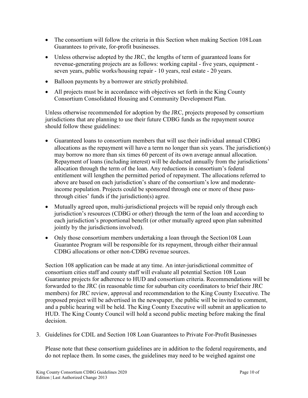- The consortium will follow the criteria in this Section when making Section 108 Loan Guarantees to private, for-profit businesses.
- Unless otherwise adopted by the JRC, the lengths of term of guaranteed loans for revenue-generating projects are as follows: working capital - five years, equipment seven years, public works/housing repair - 10 years, real estate - 20 years.
- Balloon payments by a borrower are strictly prohibited.
- All projects must be in accordance with objectives set forth in the King County Consortium Consolidated Housing and Community Development Plan.

Unless otherwise recommended for adoption by the JRC, projects proposed by consortium jurisdictions that are planning to use their future CDBG funds as the repayment source should follow these guidelines:

- Guaranteed loans to consortium members that will use their individual annual CDBG allocations as the repayment will have a term no longer than six years. The jurisdiction(s) may borrow no more than six times 60 percent of its own average annual allocation. Repayment of loans (including interest) will be deducted annually from the jurisdictions' allocation through the term of the loan. Any reductions in consortium's federal entitlement will lengthen the permitted period of repayment. The allocations referred to above are based on each jurisdiction's share of the consortium's low and moderateincome population. Projects could be sponsored through one or more of these passthrough cities' funds if the jurisdiction(s) agree.
- Mutually agreed upon, multi-jurisdictional projects will be repaid only through each jurisdiction's resources (CDBG or other) through the term of the loan and according to each jurisdiction's proportional benefit (or other mutually agreed upon plan submitted jointly by the jurisdictions involved).
- Only those consortium members undertaking a loan through the Section 108 Loan Guarantee Program will be responsible for its repayment, through either their annual CDBG allocations or other non-CDBG revenue sources.

Section 108 application can be made at any time. An inter-jurisdictional committee of consortium cities staff and county staff will evaluate all potential Section 108 Loan Guarantee projects for adherence to HUD and consortium criteria. Recommendations will be forwarded to the JRC (in reasonable time for suburban city coordinators to brief their JRC members) for JRC review, approval and recommendation to the King County Executive. The proposed project will be advertised in the newspaper, the public will be invited to comment, and a public hearing will be held. The King County Executive will submit an application to HUD. The King County Council will hold a second public meeting before making the final decision.

3. Guidelines for CDIL and Section 108 Loan Guarantees to Private For-Profit Businesses

Please note that these consortium guidelines are in addition to the federal requirements, and do not replace them. In some cases, the guidelines may need to be weighed against one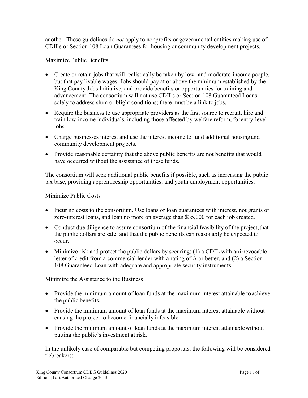another. These guidelines do *not* apply to nonprofits or governmental entities making use of CDILs or Section 108 Loan Guarantees for housing or community development projects.

Maximize Public Benefits

- Create or retain jobs that will realistically be taken by low- and moderate-income people, but that pay livable wages. Jobs should pay at or above the minimum established by the King County Jobs Initiative, and provide benefits or opportunities for training and advancement. The consortium will not use CDILs or Section 108 Guaranteed Loans solely to address slum or blight conditions; there must be a link to jobs.
- Require the business to use appropriate providers as the first source to recruit, hire and train low-income individuals, including those affected by welfare reform, forentry-level jobs.
- Charge businesses interest and use the interest income to fund additional housing and community development projects.
- Provide reasonable certainty that the above public benefits are not benefits that would have occurred without the assistance of these funds.

The consortium will seek additional public benefits if possible, such as increasing the public tax base, providing apprenticeship opportunities, and youth employment opportunities.

Minimize Public Costs

- Incur no costs to the consortium. Use loans or loan guarantees with interest, not grants or zero-interest loans, and loan no more on average than \$35,000 for each job created.
- Conduct due diligence to assure consortium of the financial feasibility of the project, that the public dollars are safe, and that the public benefits can reasonably be expected to occur.
- Minimize risk and protect the public dollars by securing: (1) a CDIL with an irrevocable letter of credit from a commercial lender with a rating of A or better, and (2) a Section 108 Guaranteed Loan with adequate and appropriate security instruments.

Minimize the Assistance to the Business

- Provide the minimum amount of loan funds at the maximum interest attainable to achieve the public benefits.
- Provide the minimum amount of loan funds at the maximum interest attainable without causing the project to become financially infeasible.
- Provide the minimum amount of loan funds at the maximum interest attainable without putting the public's investment at risk.

In the unlikely case of comparable but competing proposals, the following will be considered tiebreakers: